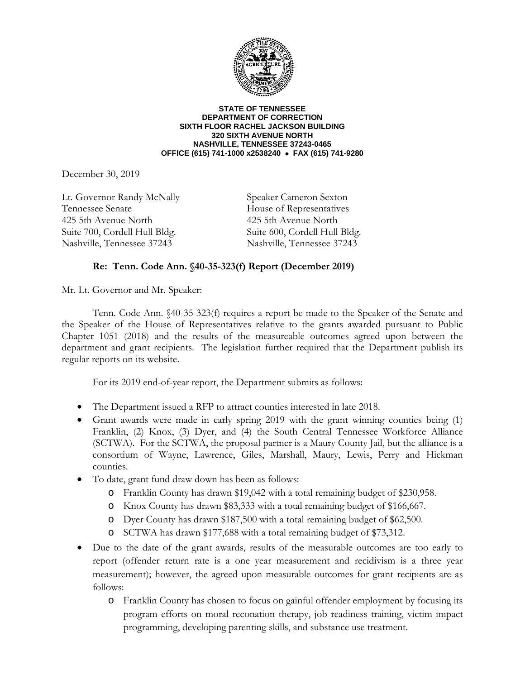

**STATE OF TENNESSEE DEPARTMENT OF CORRECTION SIXTH FLOOR RACHEL JACKSON BUILDING 320 SIXTH AVENUE NORTH NASHVILLE, TENNESSEE 37243-0465 OFFICE (615) 741-1000 x2538240 FAX (615) 741-9280**

December 30, 2019

Lt. Governor Randy McNally Speaker Cameron Sexton Tennessee Senate House of Representatives 425 5th Avenue North 425 5th Avenue North Suite 700, Cordell Hull Bldg. Suite 600, Cordell Hull Bldg. Nashville, Tennessee 37243 Nashville, Tennessee 37243

## **Re: Tenn. Code Ann. §40-35-323(f) Report (December 2019)**

Mr. Lt. Governor and Mr. Speaker:

Tenn. Code Ann. §40-35-323(f) requires a report be made to the Speaker of the Senate and the Speaker of the House of Representatives relative to the grants awarded pursuant to Public Chapter 1051 (2018) and the results of the measureable outcomes agreed upon between the department and grant recipients. The legislation further required that the Department publish its regular reports on its website.

For its 2019 end-of-year report, the Department submits as follows:

- The Department issued a RFP to attract counties interested in late 2018.
- Grant awards were made in early spring 2019 with the grant winning counties being (1) Franklin, (2) Knox, (3) Dyer, and (4) the South Central Tennessee Workforce Alliance (SCTWA). For the SCTWA, the proposal partner is a Maury County Jail, but the alliance is a consortium of Wayne, Lawrence, Giles, Marshall, Maury, Lewis, Perry and Hickman counties.
- To date, grant fund draw down has been as follows:
	- o Franklin County has drawn \$19,042 with a total remaining budget of \$230,958.
	- o Knox County has drawn \$83,333 with a total remaining budget of \$166,667.
	- o Dyer County has drawn \$187,500 with a total remaining budget of \$62,500.
	- o SCTWA has drawn \$177,688 with a total remaining budget of \$73,312.
- Due to the date of the grant awards, results of the measurable outcomes are too early to report (offender return rate is a one year measurement and recidivism is a three year measurement); however, the agreed upon measurable outcomes for grant recipients are as follows:
	- o Franklin County has chosen to focus on gainful offender employment by focusing its program efforts on moral reconation therapy, job readiness training, victim impact programming, developing parenting skills, and substance use treatment.